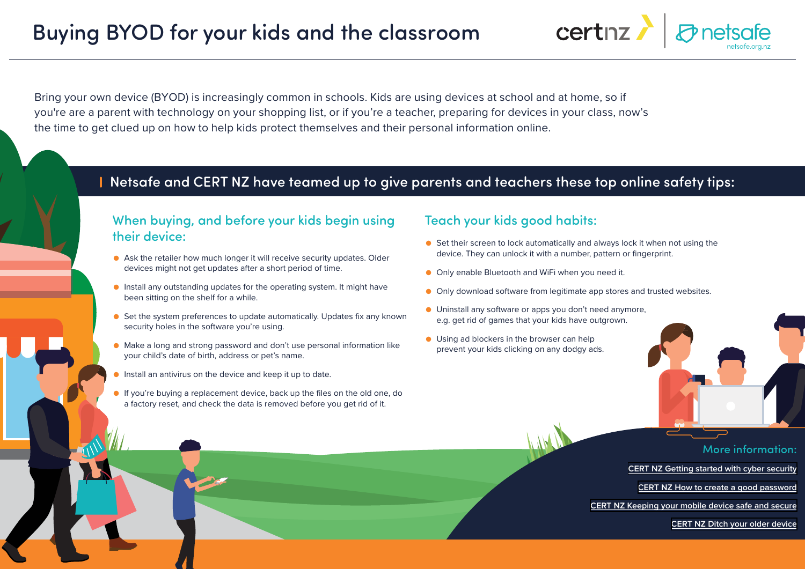Bring your own device (BYOD) is increasingly common in schools. Kids are using devices at school and at home, so if you're are a parent with technology on your shopping list, or if you're a teacher, preparing for devices in your class, now's the time to get clued up on how to help kids protect themselves and their personal information online.

## Netsafe and CERT NZ have teamed up to give parents and teachers these top online safety tips:

## When buying, and before your kids begin using their device:

- Ask the retailer how much longer it will receive security updates. Older devices might not get updates after a short period of time.
- Install any outstanding updates for the operating system. It might have been sitting on the shelf for a while.
- Set the system preferences to update automatically. Updates fix any known security holes in the software you're using.
- Make a long and strong password and don't use personal information like your child's date of birth, address or pet's name.
- Install an antivirus on the device and keep it up to date.
- If you're buying a replacement device, back up the files on the old one, do a factory reset, and check the data is removed before you get rid of it.

## Teach your kids good habits:

● Set their screen to lock automatically and always lock it when not using the device. They can unlock it with a number, pattern or fingerprint.

certnz

- Only enable Bluetooth and WiFi when you need it.
- Only download software from legitimate app stores and trusted websites.
- Uninstall any software or apps you don't need anymore, e.g. get rid of games that your kids have outgrown.
- Using ad blockers in the browser can help prevent your kids clicking on any dodgy ads.



More information:

**[CERT NZ Getting started with cyber security](https://www.cert.govt.nz/individuals/guides/getting-started-with-cyber-security/)**

**[CERT NZ How to create a good password](https://www.cert.govt.nz/individuals/guides/getting-started-with-cyber-security/how-to-create-a-good-password/)** 

**[CERT NZ Keeping your mobile device safe and secure](https://www.cert.govt.nz/individuals/guides/stepping-up-your-cyber-security/keep-mobile-phone-safe-secure/)**

**[CERT NZ Ditch your older device](https://www.cert.govt.nz/individuals/guides/stepping-up-your-cyber-security/ditch-your-older-device/)**